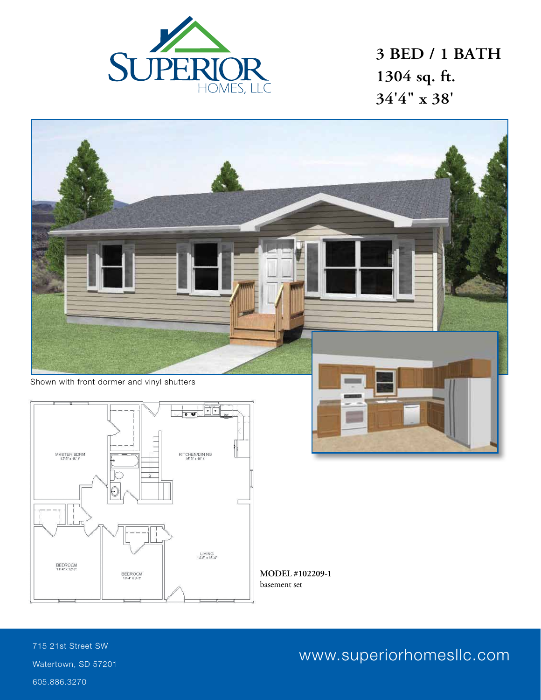

**3 BED / 1 BATH 1304 sq. ft. 34'4" x 38'**



basement set

715 21st Street SW Watertown, SD 57201 605.886.3270

www.superiorhomesllc.com